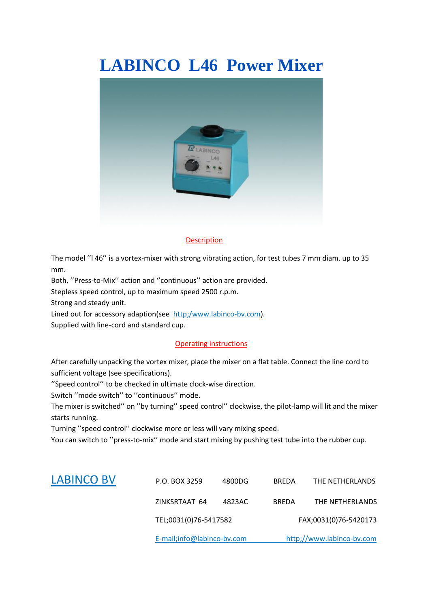# **LABINCO L46 Power Mixer**



#### **Description**

The model ''l 46'' is a vortex-mixer with strong vibrating action, for test tubes 7 mm diam. up to 35 mm.

Both, ''Press-to-Mix'' action and ''continuous'' action are provided.

Stepless speed control, up to maximum speed 2500 r.p.m.

Strong and steady unit.

Lined out for accessory adaption(see http;/www.labinco-bv.com). Supplied with line-cord and standard cup.

#### Operating instructions

After carefully unpacking the vortex mixer, place the mixer on a flat table. Connect the line cord to sufficient voltage (see specifications).

''Speed control'' to be checked in ultimate clock-wise direction.

Switch ''mode switch'' to ''continuous'' mode.

The mixer is switched'' on ''by turning'' speed control'' clockwise, the pilot-lamp will lit and the mixer starts running.

Turning ''speed control'' clockwise more or less will vary mixing speed.

You can switch to ''press-to-mix'' mode and start mixing by pushing test tube into the rubber cup.

|                   | E-mail;info@labinco-bv.com |        | http;//www.labinco-bv.com |                 |
|-------------------|----------------------------|--------|---------------------------|-----------------|
|                   | TEL;0031(0)76-5417582      |        | FAX;0031(0)76-5420173     |                 |
|                   | ZINKSRTAAT 64              | 4823AC | <b>BREDA</b>              | THE NETHERLANDS |
| <b>LABINCO BV</b> | P.O. BOX 3259              | 4800DG | <b>BREDA</b>              | THE NETHERLANDS |